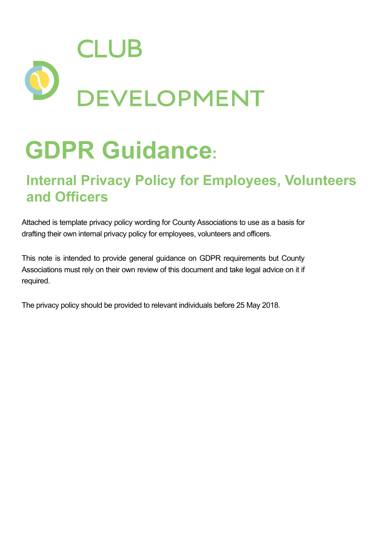

# **GDPR Guidance:**

### **Internal Privacy Policy for Employees, Volunteers and Officers**

Attached is template privacy policy wording for County Associations to use as a basis for drafting their own internal privacy policy for employees, volunteers and officers.

This note is intended to provide general guidance on GDPR requirements but County Associations must rely on their own review of this document and take legal advice on it if required.

The privacy policy should be provided to relevant individuals before 25 May 2018.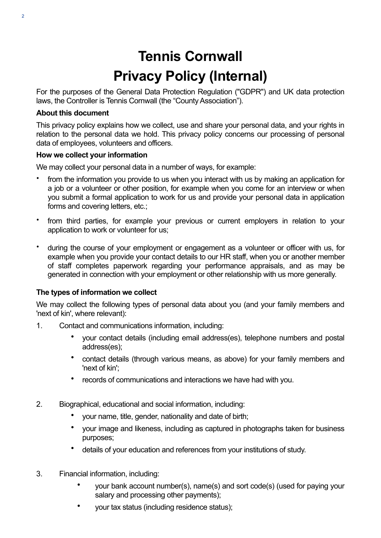## **Tennis Cornwall Privacy Policy (Internal)**

For the purposes of the General Data Protection Regulation ("GDPR") and UK data protection laws, the Controller is Tennis Cornwall (the "County Association").

#### **About this document**

This privacy policy explains how we collect, use and share your personal data, and your rights in relation to the personal data we hold. This privacy policy concerns our processing of personal data of employees, volunteers and officers.

#### **How we collect your information**

We may collect your personal data in a number of ways, for example:

- from the information you provide to us when you interact with us by making an application for a job or a volunteer or other position, for example when you come for an interview or when you submit a formal application to work for us and provide your personal data in application forms and covering letters, etc.;
- from third parties, for example your previous or current employers in relation to your application to work or volunteer for us;
- during the course of your employment or engagement as a volunteer or officer with us, for example when you provide your contact details to our HR staff, when you or another member of staff completes paperwork regarding your performance appraisals, and as may be generated in connection with your employment or other relationship with us more generally.

#### **The types of information we collect**

We may collect the following types of personal data about you (and your family members and 'next of kin', where relevant):

- 1. Contact and communications information, including:
	- your contact details (including email address(es), telephone numbers and postal address(es);
	- contact details (through various means, as above) for your family members and 'next of kin';
	- records of communications and interactions we have had with you.
- 2. Biographical, educational and social information, including:
	- your name, title, gender, nationality and date of birth;
	- your image and likeness, including as captured in photographs taken for business purposes;
	- details of your education and references from your institutions of study.
- 3. Financial information, including:
	- your bank account number(s), name(s) and sort code(s) (used for paying your salary and processing other payments);
	- your tax status (including residence status);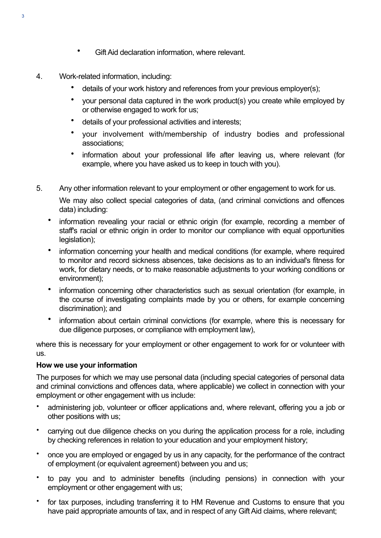- Gift Aid declaration information, where relevant.
- 4. Work-related information, including:
	- details of your work history and references from your previous employer(s);
	- your personal data captured in the work product(s) you create while employed by or otherwise engaged to work for us;
	- details of your professional activities and interests;
	- your involvement with/membership of industry bodies and professional associations;
	- information about your professional life after leaving us, where relevant (for example, where you have asked us to keep in touch with you).
- 5. Any other information relevant to your employment or other engagement to work for us. We may also collect special categories of data, (and criminal convictions and offences data) including:
	- information revealing your racial or ethnic origin (for example, recording a member of staff's racial or ethnic origin in order to monitor our compliance with equal opportunities legislation);
	- information concerning your health and medical conditions (for example, where required to monitor and record sickness absences, take decisions as to an individual's fitness for work, for dietary needs, or to make reasonable adjustments to your working conditions or environment);
	- information concerning other characteristics such as sexual orientation (for example, in the course of investigating complaints made by you or others, for example concerning discrimination); and
	- information about certain criminal convictions (for example, where this is necessary for due diligence purposes, or compliance with employment law),

where this is necessary for your employment or other engagement to work for or volunteer with us.

#### **How we use your information**

The purposes for which we may use personal data (including special categories of personal data and criminal convictions and offences data, where applicable) we collect in connection with your employment or other engagement with us include:

- administering job, volunteer or officer applications and, where relevant, offering you a job or other positions with us;
- carrying out due diligence checks on you during the application process for a role, including by checking references in relation to your education and your employment history;
- once you are employed or engaged by us in any capacity, for the performance of the contract of employment (or equivalent agreement) between you and us;
- to pay you and to administer benefits (including pensions) in connection with your employment or other engagement with us;
- for tax purposes, including transferring it to HM Revenue and Customs to ensure that you have paid appropriate amounts of tax, and in respect of any Gift Aid claims, where relevant;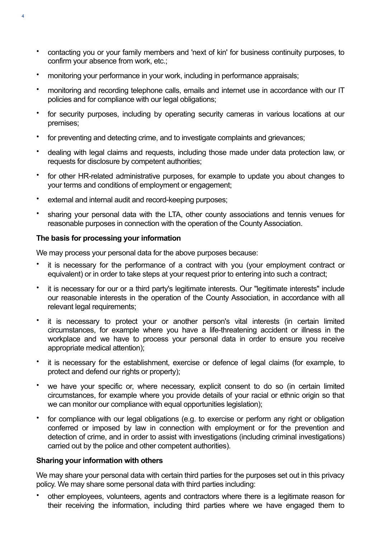- contacting you or your family members and 'next of kin' for business continuity purposes, to confirm your absence from work, etc.;
- monitoring your performance in your work, including in performance appraisals;
- monitoring and recording telephone calls, emails and internet use in accordance with our IT policies and for compliance with our legal obligations;
- for security purposes, including by operating security cameras in various locations at our premises;
- for preventing and detecting crime, and to investigate complaints and grievances;
- dealing with legal claims and requests, including those made under data protection law, or requests for disclosure by competent authorities;
- for other HR-related administrative purposes, for example to update you about changes to your terms and conditions of employment or engagement;
- external and internal audit and record-keeping purposes;
- sharing your personal data with the LTA, other county associations and tennis venues for reasonable purposes in connection with the operation of the County Association.

#### **The basis for processing your information**

We may process your personal data for the above purposes because:

- it is necessary for the performance of a contract with you (your employment contract or equivalent) or in order to take steps at your request prior to entering into such a contract;
- it is necessary for our or a third party's legitimate interests. Our "legitimate interests" include our reasonable interests in the operation of the County Association, in accordance with all relevant legal requirements;
- it is necessary to protect your or another person's vital interests (in certain limited circumstances, for example where you have a life-threatening accident or illness in the workplace and we have to process your personal data in order to ensure you receive appropriate medical attention);
- it is necessary for the establishment, exercise or defence of legal claims (for example, to protect and defend our rights or property);
- we have your specific or, where necessary, explicit consent to do so (in certain limited circumstances, for example where you provide details of your racial or ethnic origin so that we can monitor our compliance with equal opportunities legislation);
- for compliance with our legal obligations (e.g. to exercise or perform any right or obligation conferred or imposed by law in connection with employment or for the prevention and detection of crime, and in order to assist with investigations (including criminal investigations) carried out by the police and other competent authorities).

#### **Sharing your information with others**

We may share your personal data with certain third parties for the purposes set out in this privacy policy. We may share some personal data with third parties including:

• other employees, volunteers, agents and contractors where there is a legitimate reason for their receiving the information, including third parties where we have engaged them to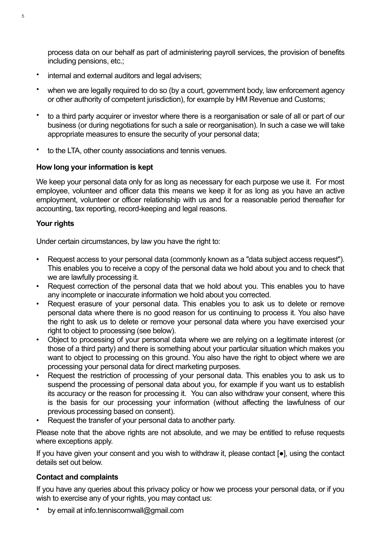process data on our behalf as part of administering payroll services, the provision of benefits including pensions, etc.;

- internal and external auditors and legal advisers;
- when we are legally required to do so (by a court, government body, law enforcement agency or other authority of competent jurisdiction), for example by HM Revenue and Customs;
- to a third party acquirer or investor where there is a reorganisation or sale of all or part of our business (or during negotiations for such a sale or reorganisation). In such a case we will take appropriate measures to ensure the security of your personal data;
- to the LTA, other county associations and tennis venues.

#### **How long your information is kept**

We keep your personal data only for as long as necessary for each purpose we use it. For most employee, volunteer and officer data this means we keep it for as long as you have an active employment, volunteer or officer relationship with us and for a reasonable period thereafter for accounting, tax reporting, record-keeping and legal reasons.

#### **Your rights**

Under certain circumstances, by law you have the right to:

- Request access to your personal data (commonly known as a "data subject access request"). This enables you to receive a copy of the personal data we hold about you and to check that we are lawfully processing it.
- Request correction of the personal data that we hold about you. This enables you to have any incomplete or inaccurate information we hold about you corrected.
- Request erasure of your personal data. This enables you to ask us to delete or remove personal data where there is no good reason for us continuing to process it. You also have the right to ask us to delete or remove your personal data where you have exercised your right to object to processing (see below).
- Object to processing of your personal data where we are relying on a legitimate interest (or those of a third party) and there is something about your particular situation which makes you want to object to processing on this ground. You also have the right to object where we are processing your personal data for direct marketing purposes.
- Request the restriction of processing of your personal data. This enables you to ask us to suspend the processing of personal data about you, for example if you want us to establish its accuracy or the reason for processing it. You can also withdraw your consent, where this is the basis for our processing your information (without affecting the lawfulness of our previous processing based on consent).
- Request the transfer of your personal data to another party.

Please note that the above rights are not absolute, and we may be entitled to refuse requests where exceptions apply.

If you have given your consent and you wish to withdraw it, please contact [●], using the contact details set out below.

#### **Contact and complaints**

If you have any queries about this privacy policy or how we process your personal data, or if you wish to exercise any of your rights, you may contact us:

• by email at info.tenniscornwall@gmail.com